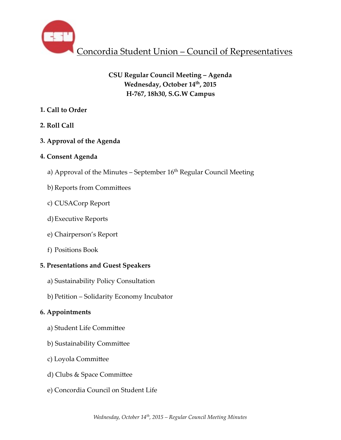

# **CSU Regular Council Meeting – Agenda** Wednesday, October 14<sup>th</sup>, 2015 **H-767, 18h30, S.G.W Campus**

## **1. Call to Order**

## **2. Roll Call**

## **3. Approval of the Agenda**

## **4. Consent Agenda**

- a) Approval of the Minutes September 16<sup>th</sup> Regular Council Meeting
- b) Reports from Committees
- c) CUSACorp Report
- d)Executive Reports
- e) Chairperson's Report
- f) Positions Book

## **5. Presentations and Guest Speakers**

- a) Sustainability Policy Consultation
- b) Petition Solidarity Economy Incubator

# **6. Appointments**

- a) Student Life Committee
- b) Sustainability Committee
- c) Loyola Committee
- d) Clubs & Space Committee
- e) Concordia Council on Student Life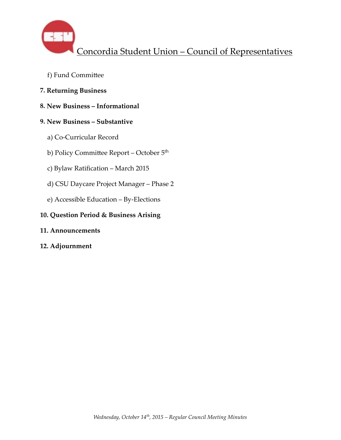- f) Fund Committee
- **7. Returning Business**
- **8. New Business Informational**

## **9. New Business – Substantive**

- a) Co-Curricular Record
- b) Policy Committee Report October 5<sup>th</sup>
- c) Bylaw Ratification March 2015
- d) CSU Daycare Project Manager Phase 2
- e) Accessible Education By-Elections

## **10. Question Period & Business Arising**

- **11. Announcements**
- **12. Adjournment**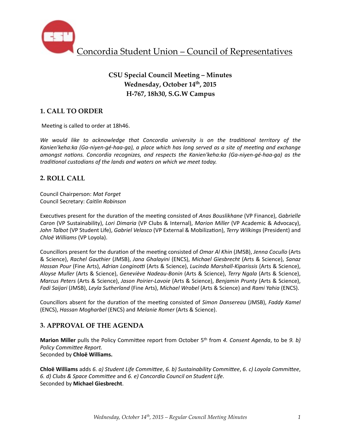

# **CSU Special Council Meeting – Minutes** Wednesday, October 14<sup>th</sup>, 2015 **H-767, 18h30, S.G.W Campus**

## **1. CALL TO ORDER**

Meeting is called to order at 18h46.

We would like to acknowledge that Concordia university is on the traditional territory of the Kanien'keha:ka (Ga-niyen-gé-haa-ga), a place which has long served as a site of meeting and exchange *amongst nations. Concordia recognizes, and respects the Kanien'keha:ka (Ga-niyen-gé-haa-ga)* as the *traditional custodians of the lands and waters on which we meet today.* 

### **2. ROLL CALL**

Council Chairperson: *Mat Forget* Council Secretary: *Caitlin Robinson*

Executives present for the duration of the meeting consisted of *Anas Bouslikhane* (VP Finance), *Gabrielle Caron* (VP Sustainability), *Lori Dimaria* (VP Clubs & Internal), *Marion Miller* (VP Academic & Advocacy), John Talbot (VP Student Life), *Gabriel Velasco* (VP External & Mobilization), *Terry Wilkings* (President) and *Chloë Williams* (VP Loyola). 

Councillors present for the duration of the meeting consisted of *Omar Al Khin* (JMSB), *Jenna Cocullo* (Arts & Science), *Rachel Gauthier* (JMSB), *Jana Ghalayini* (ENCS), *Michael Giesbrecht* (Arts & Science), *Sanaz Hassan Pour* (Fine Arts), *Adrian Longinotti* (Arts & Science), *Lucinda Marshall-Kiparissis* (Arts & Science), *Aloyse Muller* (Arts & Science), *Geneviève Nadeau-Bonin* (Arts & Science), *Terry Ngala* (Arts & Science), *Marcus Peters* (Arts & Science), Jason Poirier-Lavoie (Arts & Science), Benjamin Prunty (Arts & Science), *Fadi Saijari* (JMSB), *Leyla Sutherland* (Fine Arts), *Michael Wrobel* (Arts & Science) and *Rami Yahia* (ENCS).

Councillors absent for the duration of the meeting consisted of *Simon Dansereau* (JMSB), *Faddy Kamel* (ENCS), *Hassan Mogharbel* (ENCS) and *Melanie Romer* (Arts & Science).

### **3. APPROVAL OF THE AGENDA**

**Marion Miller** pulls the Policy Committee report from October 5<sup>th</sup> from 4. Consent Agenda, to be 9. b) **Policy Committee Report.** Seconded by **Chloë Williams.**

**Chloë Williams** adds 6. a) Student Life Committee, 6. b) Sustainability Committee, 6. c) Loyola Committee, *6. d)* Clubs & Space Committee and 6. e) Concordia Council on Student Life. Seconded by **Michael Giesbrecht**.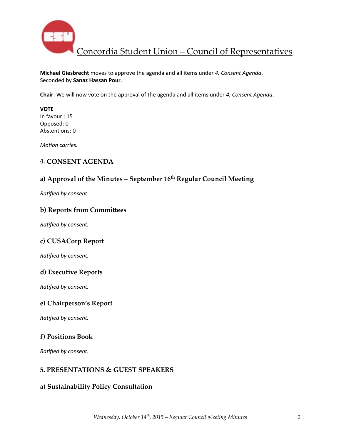

**Michael Giesbrecht** moves to approve the agenda and all items under 4. Consent Agenda. Seconded by **Sanaz Hassan Pour**. 

**Chair**: We will now vote on the approval of the agenda and all items under 4. Consent Agenda.

**VOTE**  In favour : 15 Opposed: 0 Abstentions: 0

*Motion carries.* 

### **4. CONSENT AGENDA**

## a) Approval of the Minutes - September 16<sup>th</sup> Regular Council Meeting

**Ratified by consent.** 

### **b) Reports from Committees**

**Ratified by consent.** 

### **c) CUSACorp Report**

*Ratified by consent.* 

### **d) Executive Reports**

**Ratified by consent.** 

#### **e) Chairperson's Report**

**Ratified by consent.** 

### **f) Positions Book**

**Ratified by consent.** 

### **5. PRESENTATIONS & GUEST SPEAKERS**

### **a) Sustainability Policy Consultation**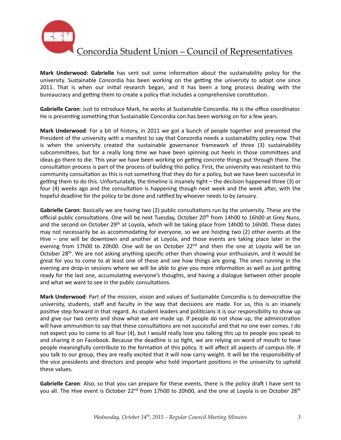

**Mark Underwood: Gabrielle** has sent out some information about the sustainability policy for the university. Sustainable Concordia has been working on the getting the university to adopt one since 2011. That is when our initial research began, and it has been a long process dealing with the bureaucracy and getting them to create a policy that includes a comprehensive constitution.

Gabrielle Caron: Just to introduce Mark, he works at Sustainable Concordia. He is the office coordinator. He is presenting something that Sustainable Concordia con has been working on for a few years.

**Mark Underwood**: For a bit of history, in 2011 we got a bunch of people together and presented the President of the university with a manifest to say that Concordia needs a sustainability policy now. That is when the university created the sustainable governance framework of three (3) sustainability subcommittees, but for a really long time we have been spinning out heels in those committees and ideas go there to die. This year we have been working on getting concrete things put through there. The consultation process is part of the process of building this policy. First, the university was resistant to this community consultation as this is not something that they do for a policy, but we have been successful in getting them to do this. Unfortunately, the timeline is insanely tight  $-$  the decision happened three (3) or four (4) weeks ago and the consultation is happening though next week and the week after, with the hopeful deadline for the policy to be done and ratified by whoever needs to by January.

**Gabrielle Caron**: Basically we are having two (2) public consultations run by the university. These are the official public consultations. One will be next Tuesday, October  $20<sup>th</sup>$  from 14h00 to 16h00 at Grey Nuns, and the second on October 29<sup>th</sup> at Loyola, which will be taking place from 14h00 to 16h00. These dates may not necessarily be as accommodating for everyone, so we are hosting two (2) other events at the Hive  $-$  one will be downtown and another at Loyola, and those events are taking place later in the evening from 17h00 to 20h00. One will be on October 22<sup>nd</sup> and then the one at Loyola will be on October 28<sup>th</sup>. We are not asking anything specific other than showing your enthusiasm, and it would be great for you to come to at least one of these and see how things are going. The ones running in the evening are drop-in sessions where we will be able to give you more information as well as just getting ready for the last one, accumulating everyone's thoughts, and having a dialogue between other people and what we want to see in the public consultations.

**Mark Underwood**: Part of the mission, vision and values of Sustainable Concordia is to democratize the university, students, staff and faculty in the way that decisions are made. For us, this is an insanely positive step forward in that regard. As student leaders and politicians it is our responsibility to show up and give our two cents and show what we are made up. If people do not show up, the administration will have ammunition to say that these consultations are not successful and that no one ever comes. I do not expect you to come to all four (4), but I would really love you talking this up to people you speak to and sharing it on Facebook. Because the deadline is so tight, we are relying on word of mouth to have people meaningfully contribute to the formation of this policy. It will affect all aspects of campus life. If you talk to our group, they are really excited that it will now carry weight. It will be the responsibility of the vice presidents and directors and people who hold important positions in the university to uphold these values.

**Gabrielle Caron**: Also, so that you can prepare for these events, there is the policy draft I have sent to you all. The Hive event is October 22<sup>nd</sup> from 17h00 to 20h00, and the one at Loyola is on October 28<sup>th</sup>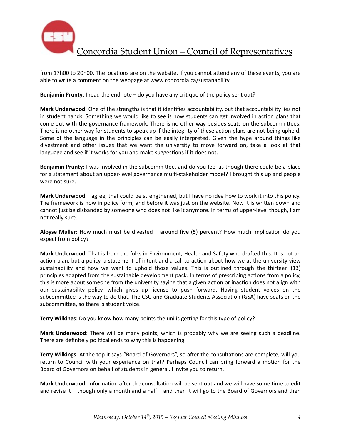

from 17h00 to 20h00. The locations are on the website. If you cannot attend any of these events, you are able to write a comment on the webpage at www.concordia.ca/sustanability.

**Benjamin Prunty**: I read the endnote – do you have any critique of the policy sent out?

**Mark Underwood**: One of the strengths is that it identifies accountability, but that accountability lies not in student hands. Something we would like to see is how students can get involved in action plans that come out with the governance framework. There is no other way besides seats on the subcommittees. There is no other way for students to speak up if the integrity of these action plans are not being upheld. Some of the language in the principles can be easily interpreted. Given the hype around things like divestment and other issues that we want the university to move forward on, take a look at that language and see if it works for you and make suggestions if it does not.

**Benjamin Prunty**: I was involved in the subcommittee, and do you feel as though there could be a place for a statement about an upper-level governance multi-stakeholder model? I brought this up and people were not sure.

**Mark Underwood**: I agree, that could be strengthened, but I have no idea how to work it into this policy. The framework is now in policy form, and before it was just on the website. Now it is written down and cannot just be disbanded by someone who does not like it anymore. In terms of upper-level though, I am not really sure.

**Aloyse Muller**: How much must be divested – around five (5) percent? How much implication do you expect from policy?

Mark Underwood: That is from the folks in Environment, Health and Safety who drafted this. It is not an action plan, but a policy, a statement of intent and a call to action about how we at the university view sustainability and how we want to uphold those values. This is outlined through the thirteen (13) principles adapted from the sustainable development pack. In terms of prescribing actions from a policy, this is more about someone from the university saying that a given action or inaction does not align with our sustainability policy, which gives up license to push forward. Having student voices on the subcommittee is the way to do that. The CSU and Graduate Students Association (GSA) have seats on the subcommittee, so there is student voice.

**Terry Wilkings:** Do you know how many points the uni is getting for this type of policy?

**Mark Underwood**: There will be many points, which is probably why we are seeing such a deadline. There are definitely political ends to why this is happening.

Terry Wilkings: At the top it says "Board of Governors", so after the consultations are complete, will you return to Council with your experience on that? Perhaps Council can bring forward a motion for the Board of Governors on behalf of students in general. I invite you to return.

Mark Underwood: Information after the consultation will be sent out and we will have some time to edit and revise it – though only a month and a half – and then it will go to the Board of Governors and then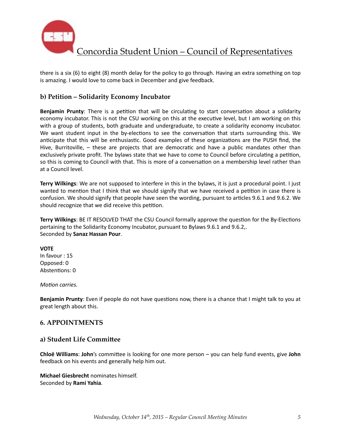

there is a six  $(6)$  to eight  $(8)$  month delay for the policy to go through. Having an extra something on top is amazing. I would love to come back in December and give feedback.

### **b) Petition – Solidarity Economy Incubator**

**Benjamin Prunty**: There is a petition that will be circulating to start conversation about a solidarity economy incubator. This is not the CSU working on this at the executive level, but I am working on this with a group of students, both graduate and undergraduate, to create a solidarity economy incubator. We want student input in the by-elections to see the conversation that starts surrounding this. We anticipate that this will be enthusiastic. Good examples of these organizations are the PUSH find, the Hive, Burritoville,  $-$  these are projects that are democratic and have a public mandates other than exclusively private profit. The bylaws state that we have to come to Council before circulating a petition, so this is coming to Council with that. This is more of a conversation on a membership level rather than at a Council level.

**Terry Wilkings**: We are not supposed to interfere in this in the bylaws, it is just a procedural point. I just wanted to mention that I think that we should signify that we have received a petition in case there is confusion. We should signify that people have seen the wording, pursuant to articles 9.6.1 and 9.6.2. We should recognize that we did receive this petition.

**Terry Wilkings:** BE IT RESOLVED THAT the CSU Council formally approve the question for the By-Elections pertaining to the Solidarity Economy Incubator, pursuant to Bylaws 9.6.1 and 9.6.2,. Seconded by **Sanaz Hassan Pour**. 

#### **VOTE**

In favour : 15 Opposed: 0 Abstentions: 0

#### *Motion carries.*

**Benjamin Prunty**: Even if people do not have questions now, there is a chance that I might talk to you at great length about this.

#### **6. APPOINTMENTS**

#### **a) Student Life Commi^ee**

**Chloë Williams: John's** committee is looking for one more person – you can help fund events, give John feedback on his events and generally help him out.

**Michael Giesbrecht** nominates himself. Seconded by **Rami Yahia**.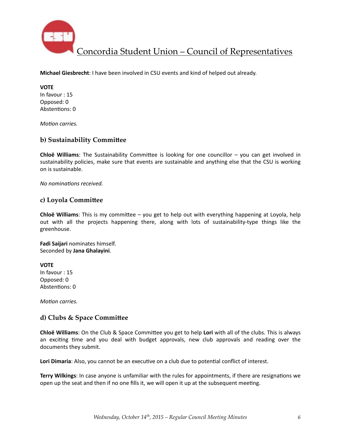

**Michael Giesbrecht**: I have been involved in CSU events and kind of helped out already.

**VOTE**  In favour : 15 Opposed: 0 Abstentions: 0

*Motion carries.* 

### **b) Sustainability Committee**

**Chloë Williams**: The Sustainability Committee is looking for one councillor – you can get involved in sustainability policies, make sure that events are sustainable and anything else that the CSU is working on is sustainable.

*No nominations received.* 

#### c) Loyola Committee

**Chloë Williams**: This is my committee – you get to help out with everything happening at Loyola, help out with all the projects happening there, along with lots of sustainability-type things like the greenhouse. 

**Fadi Saijari** nominates himself. Seconded by **Jana Ghalayini**. 

**VOTE** In favour : 15 Opposed: 0 Abstentions: 0

*Motion carries.* 

#### d) Clubs & Space Committee

**Chloë Williams**: On the Club & Space Committee you get to help Lori with all of the clubs. This is always an exciting time and you deal with budget approvals, new club approvals and reading over the documents they submit.

Lori Dimaria: Also, you cannot be an executive on a club due to potential conflict of interest.

**Terry Wilkings**: In case anyone is unfamiliar with the rules for appointments, if there are resignations we open up the seat and then if no one fills it, we will open it up at the subsequent meeting.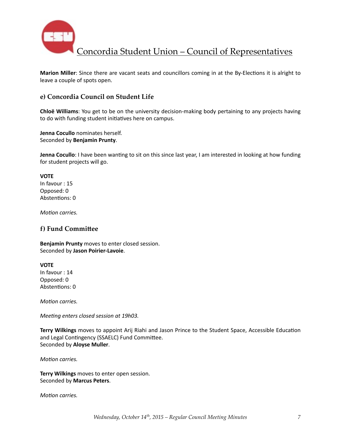

Marion Miller: Since there are vacant seats and councillors coming in at the By-Elections it is alright to leave a couple of spots open.

### **e) Concordia Council on Student Life**

**Chloë Williams**: You get to be on the university decision-making body pertaining to any projects having to do with funding student initiatives here on campus.

**Jenna Cocullo** nominates herself. Seconded by **Benjamin Prunty**. 

**Jenna Cocullo**: I have been wanting to sit on this since last year, I am interested in looking at how funding for student projects will go.

**VOTE** In favour : 15 Opposed: 0 Abstentions: 0

*Motion carries.* 

#### **f)** Fund Committee

**Benjamin Prunty** moves to enter closed session. Seconded by **Jason Poirier-Lavoie**. 

**VOTE** In favour : 14 Opposed: 0 Abstentions: 0

*Motion carries.* 

*Meeting enters closed session at 19h03.* 

**Terry Wilkings** moves to appoint Arij Riahi and Jason Prince to the Student Space, Accessible Education and Legal Contingency (SSAELC) Fund Committee. Seconded by **Aloyse Muller**. 

*Motion carries.* 

**Terry Wilkings** moves to enter open session. Seconded by **Marcus Peters**. 

*Motion carries.*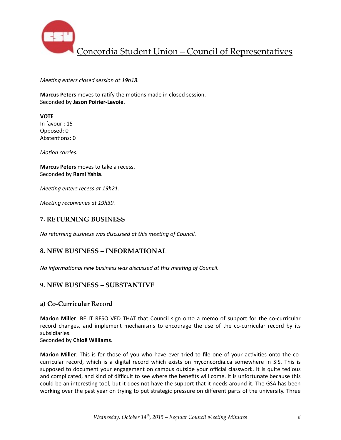

*Meeting enters closed session at 19h18.* 

**Marcus Peters** moves to ratify the motions made in closed session. Seconded by **Jason Poirier-Lavoie**. 

**VOTE** In favour  $: 15$ Opposed: 0 Abstentions: 0

*Motion carries.* 

**Marcus Peters** moves to take a recess. Seconded by **Rami Yahia**. 

*Meeting enters recess at 19h21.* 

*Meeting reconvenes at 19h39.* 

#### **7. RETURNING BUSINESS**

*No returning business was discussed at this meeting of Council.* 

#### **8. NEW BUSINESS – INFORMATIONAL**

*No informational new business was discussed at this meeting of Council.* 

#### **9. NEW BUSINESS – SUBSTANTIVE**

#### **a) Co-Curricular Record**

**Marion Miller**: BE IT RESOLVED THAT that Council sign onto a memo of support for the co-curricular record changes, and implement mechanisms to encourage the use of the co-curricular record by its subsidiaries. 

Seconded by **Chloë Williams**. 

**Marion Miller**: This is for those of you who have ever tried to file one of your activities onto the cocurricular record, which is a digital record which exists on myconcordia.ca somewhere in SIS. This is supposed to document your engagement on campus outside your official classwork. It is quite tedious and complicated, and kind of difficult to see where the benefits will come. It is unfortunate because this could be an interesting tool, but it does not have the support that it needs around it. The GSA has been working over the past year on trying to put strategic pressure on different parts of the university. Three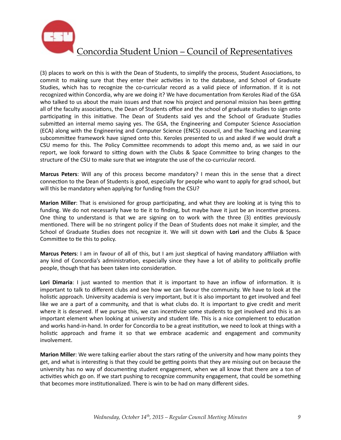

(3) places to work on this is with the Dean of Students, to simplify the process, Student Associations, to commit to making sure that they enter their activities in to the database, and School of Graduate Studies, which has to recognize the co-curricular record as a valid piece of information. If it is not recognized within Concordia, why are we doing it? We have documentation from Keroles Riad of the GSA who talked to us about the main issues and that now his project and personal mission has been getting all of the faculty associations, the Dean of Students office and the school of graduate studies to sign onto participating in this initiative. The Dean of Students said yes and the School of Graduate Studies submitted an internal memo saying yes. The GSA, the Engineering and Computer Science Association (ECA) along with the Engineering and Computer Science (ENCS) council, and the Teaching and Learning subcommittee framework have signed onto this. Keroles presented to us and asked if we would draft a CSU memo for this. The Policy Committee recommends to adopt this memo and, as we said in our report, we look forward to sitting down with the Clubs & Space Committee to bring changes to the structure of the CSU to make sure that we integrate the use of the co-curricular record.

**Marcus Peters**: Will any of this process become mandatory? I mean this in the sense that a direct connection to the Dean of Students is good, especially for people who want to apply for grad school, but will this be mandatory when applying for funding from the CSU?

**Marion Miller**: That is envisioned for group participating, and what they are looking at is tying this to funding. We do not necessarily have to tie it to finding, but maybe have it just be an incentive process. One thing to understand is that we are signing on to work with the three  $(3)$  entities previously mentioned. There will be no stringent policy if the Dean of Students does not make it simpler, and the School of Graduate Studies does not recognize it. We will sit down with Lori and the Clubs & Space Committee to tie this to policy.

**Marcus Peters**: I am in favour of all of this, but I am just skeptical of having mandatory affiliation with any kind of Concordia's administration, especially since they have a lot of ability to politically profile people, though that has been taken into consideration.

**Lori Dimaria**: I just wanted to mention that it is important to have an inflow of information. It is important to talk to different clubs and see how we can favour the community. We have to look at the holistic approach. University academia is very important, but it is also important to get involved and feel like we are a part of a community, and that is what clubs do. It is important to give credit and merit where it is deserved. If we pursue this, we can incentivize some students to get involved and this is an important element when looking at university and student life. This is a nice complement to education and works hand-in-hand. In order for Concordia to be a great institution, we need to look at things with a holistic approach and frame it so that we embrace academic and engagement and community involvement. 

**Marion Miller**: We were talking earlier about the stars rating of the university and how many points they get, and what is interesting is that they could be getting points that they are missing out on because the university has no way of documenting student engagement, when we all know that there are a ton of activities which go on. If we start pushing to recognize community engagement, that could be something that becomes more institutionalized. There is win to be had on many different sides.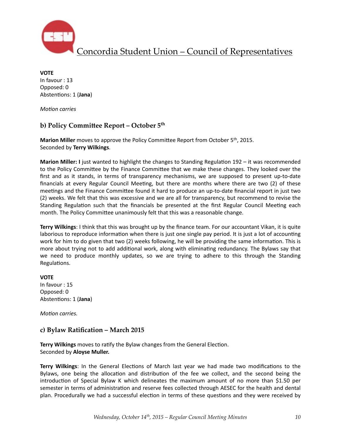

**VOTE** In favour : 13 Opposed: 0 Abstentions: 1 (Jana)

*Motion* carries

### **b) Policy Committee Report – October 5th**

**Marion Miller** moves to approve the Policy Committee Report from October 5<sup>th</sup>, 2015. Seconded by **Terry Wilkings**. 

**Marion Miller:** I just wanted to highlight the changes to Standing Regulation 192 – it was recommended to the Policy Committee by the Finance Committee that we make these changes. They looked over the first and as it stands, in terms of transparency mechanisms, we are supposed to present up-to-date financials at every Regular Council Meeting, but there are months where there are two  $(2)$  of these meetings and the Finance Committee found it hard to produce an up-to-date financial report in just two (2) weeks. We felt that this was excessive and we are all for transparency, but recommend to revise the Standing Regulation such that the financials be presented at the first Regular Council Meeting each month. The Policy Committee unanimously felt that this was a reasonable change.

**Terry Wilkings**: I think that this was brought up by the finance team. For our accountant Vikan, it is quite laborious to reproduce information when there is just one single pay period. It is just a lot of accounting work for him to do given that two (2) weeks following, he will be providing the same information. This is more about trying not to add additional work, along with eliminating redundancy. The Bylaws say that we need to produce monthly updates, so we are trying to adhere to this through the Standing Regulations.

**VOTE** In favour : 15 Opposed: 0 Abstentions: 1 (Jana)

*Motion carries.* 

### **c) Bylaw Ratification – March 2015**

**Terry Wilkings** moves to ratify the Bylaw changes from the General Election. Seconded by **Aloyse Muller.** 

**Terry Wilkings**: In the General Elections of March last year we had made two modifications to the Bylaws, one being the allocation and distribution of the fee we collect, and the second being the introduction of Special Bylaw K which delineates the maximum amount of no more than \$1.50 per semester in terms of administration and reserve fees collected through AESEC for the health and dental plan. Procedurally we had a successful election in terms of these questions and they were received by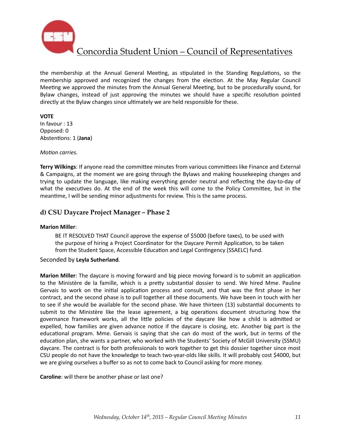

the membership at the Annual General Meeting, as stipulated in the Standing Regulations, so the membership approved and recognized the changes from the election. At the May Regular Council Meeting we approved the minutes from the Annual General Meeting, but to be procedurally sound, for Bylaw changes, instead of just approving the minutes we should have a specific resolution pointed directly at the Bylaw changes since ultimately we are held responsible for these.

#### **VOTE**

In favour : 13 Opposed: 0 Abstentions: 1 (Jana)

#### *Motion carries.*

**Terry Wilkings**: If anyone read the committee minutes from various committees like Finance and External & Campaigns, at the moment we are going through the Bylaws and making housekeeping changes and trying to update the language, like making everything gender neutral and reflecting the day-to-day of what the executives do. At the end of the week this will come to the Policy Committee, but in the meantime, I will be sending minor adjustments for review. This is the same process.

### **d) CSU Daycare Project Manager – Phase 2**

#### **Marion Miller**:

BE IT RESOLVED THAT Council approve the expense of \$5000 (before taxes), to be used with the purpose of hiring a Project Coordinator for the Daycare Permit Application, to be taken from the Student Space, Accessible Education and Legal Contingency (SSAELC) fund.

#### Seconded by **Leyla Sutherland**.

**Marion Miller**: The daycare is moving forward and big piece moving forward is to submit an application to the Ministère de la famille, which is a pretty substantial dossier to send. We hired Mme. Pauline Gervais to work on the initial application process and consult, and that was the first phase in her contract, and the second phase is to pull together all these documents. We have been in touch with her to see if she would be available for the second phase. We have thirteen (13) substantial documents to submit to the Ministère like the lease agreement, a big operations document structuring how the governance framework works, all the little policies of the daycare like how a child is admitted or expelled, how families are given advance notice if the daycare is closing, etc. Another big part is the educational program. Mme. Gervais is saying that she can do most of the work, but in terms of the education plan, she wants a partner, who worked with the Students' Society of McGill University (SSMU) daycare. The contract is for both professionals to work together to get this dossier together since most CSU people do not have the knowledge to teach two-year-olds like skills. It will probably cost \$4000, but we are giving ourselves a buffer so as not to come back to Council asking for more money.

**Caroline**: will there be another phase or last one?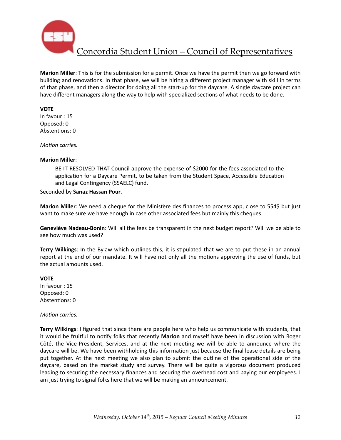

**Marion Miller**: This is for the submission for a permit. Once we have the permit then we go forward with building and renovations. In that phase, we will be hiring a different project manager with skill in terms of that phase, and then a director for doing all the start-up for the daycare. A single daycare project can have different managers along the way to help with specialized sections of what needs to be done.

#### **VOTE**

In favour : 15 Opposed: 0 Abstentions: 0

*Motion carries.* 

#### **Marion Miller**:

BE IT RESOLVED THAT Council approve the expense of \$2000 for the fees associated to the application for a Daycare Permit, to be taken from the Student Space, Accessible Education and Legal Contingency (SSAELC) fund.

Seconded by **Sanaz Hassan Pour**. 

**Marion Miller**: We need a cheque for the Ministère des finances to process app, close to 554\$ but just want to make sure we have enough in case other associated fees but mainly this cheques.

**Geneviève Nadeau-Bonin**: Will all the fees be transparent in the next budget report? Will we be able to see how much was used?

**Terry Wilkings:** In the Bylaw which outlines this, it is stipulated that we are to put these in an annual report at the end of our mandate. It will have not only all the motions approving the use of funds, but the actual amounts used.

#### **VOTE**

In favour  $: 15$ Opposed: 0 Abstentions: 0

#### *Motion carries.*

Terry Wilkings: I figured that since there are people here who help us communicate with students, that it would be fruitful to notify folks that recently Marion and myself have been in discussion with Roger Côté, the Vice-President, Services, and at the next meeting we will be able to announce where the daycare will be. We have been withholding this information just because the final lease details are being put together. At the next meeting we also plan to submit the outline of the operational side of the daycare, based on the market study and survey. There will be quite a vigorous document produced leading to securing the necessary finances and securing the overhead cost and paying our employees. I am just trying to signal folks here that we will be making an announcement.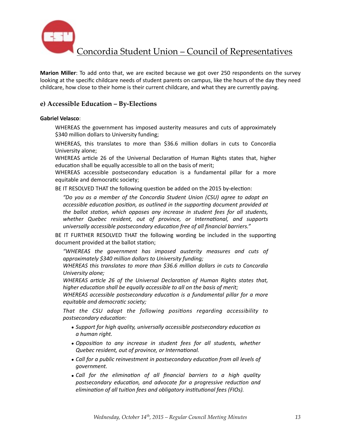

**Marion Miller**: To add onto that, we are excited because we got over 250 respondents on the survey looking at the specific childcare needs of student parents on campus, like the hours of the day they need childcare, how close to their home is their current childcare, and what they are currently paying.

### **e) Accessible Education – By-Elections**

#### **Gabriel Velasco**:

WHEREAS the government has imposed austerity measures and cuts of approximately \$340 million dollars to University funding;

WHEREAS, this translates to more than \$36.6 million dollars in cuts to Concordia University alone;

WHEREAS article 26 of the Universal Declaration of Human Rights states that, higher education shall be equally accessible to all on the basis of merit;

WHEREAS accessible postsecondary education is a fundamental pillar for a more equitable and democratic society;

BE IT RESOLVED THAT the following question be added on the 2015 by-election:

*"Do you as a member of the Concordia Student Union (CSU) agree to adopt an*  accessible education position, as outlined in the supporting document provided at *the ballot station, which opposes any increase in student fees for all students,* whether Quebec resident, out of province, or International, and supports *universally accessible postsecondary education free of all financial barriers."* 

BE IT FURTHER RESOLVED THAT the following wording be included in the supporting document provided at the ballot station;

*"WHEREAS the government has imposed austerity measures and cuts of approximately \$340 million dollars to University funding;*

*WHEREAS* this translates to more than \$36.6 million dollars in cuts to Concordia *University alone;*

*WHEREAS article 26 of the Universal Declaration of Human Rights states that, higher education shall be equally accessible to all on the basis of merit;* 

*WHEREAS* accessible postsecondary education is a fundamental pillar for a more *equitable and democratic society;* 

That the CSU adopt the following positions regarding accessibility to *postsecondary education:* 

- *Support for high quality, universally accessible postsecondary education as a human right.*
- *Opposition* to any increase in student fees for all students, whether *Quebec resident, out of province, or International.*
- Call for a public reinvestment in postsecondary education from all levels of *government.*
- Call for the elimination of all financial barriers to a high quality postsecondary education, and advocate for a progressive reduction and *elimination of all tuition fees and obligatory institutional fees (FIOs).*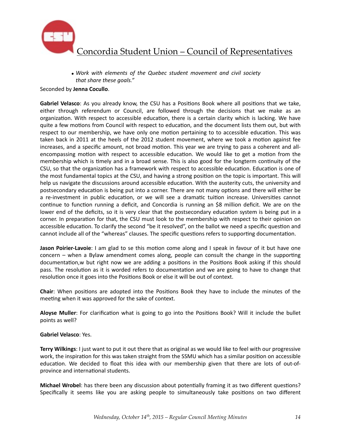

• Work with elements of the Quebec student movement and civil society that share these goals."

#### Seconded by **Jenna Cocullo**.

Gabriel Velasco: As you already know, the CSU has a Positions Book where all positions that we take, either through referendum or Council, are followed through the decisions that we make as an organization. With respect to accessible education, there is a certain clarity which is lacking. We have quite a few motions from Council with respect to education, and the document lists them out, but with respect to our membership, we have only one motion pertaining to to accessible education. This was taken back in 2011 at the heels of the 2012 student movement, where we took a motion against fee increases, and a specific amount, not broad motion. This year we are trying to pass a coherent and allencompassing motion with respect to accessible education. We would like to get a motion from the membership which is timely and in a broad sense. This is also good for the longterm continuity of the CSU, so that the organization has a framework with respect to accessible education. Education is one of the most fundamental topics at the CSU, and having a strong position on the topic is important. This will help us navigate the discussions around accessible education. With the austerity cuts, the university and postsecondary education is being put into a corner. There are not many options and there will either be a re-investment in public education, or we will see a dramatic tuition increase. Universities cannot continue to function running a deficit, and Concordia is running an \$8 million deficit. We are on the lower end of the deficits, so it is very clear that the postsecondary education system is being put in a corner. In preparation for that, the CSU must look to the membership with respect to their opinion on accessible education. To clarify the second "be it resolved", on the ballot we need a specific question and cannot include all of the "whereas" clauses. The specific questions refers to supporting documentation.

**Jason Poirier-Lavoie**: I am glad to se this motion come along and I speak in favour of it but have one concern  $-$  when a Bylaw amendment comes along, people can consult the change in the supporting documentation,w but right now we are adding a positions in the Positions Book asking if this should pass. The resolution as it is worded refers to documentation and we are going to have to change that resolution once it goes into the Positions Book or else it will be out of context.

**Chair**: When positions are adopted into the Positions Book they have to include the minutes of the meeting when it was approved for the sake of context.

Aloyse Muller: For clarification what is going to go into the Positions Book? Will it include the bullet points as well?

#### **Gabriel Velasco**: Yes.

**Terry Wilkings**: I just want to put it out there that as original as we would like to feel with our progressive work, the inspiration for this was taken straight from the SSMU which has a similar position on accessible education. We decided to float this idea with our membership given that there are lots of out-ofprovince and international students.

**Michael Wrobel**: has there been any discussion about potentially framing it as two different questions? Specifically it seems like you are asking people to simultaneously take positions on two different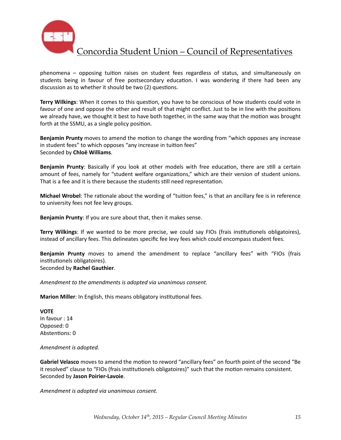

phenomena  $-$  opposing tuition raises on student fees regardless of status, and simultaneously on students being in favour of free postsecondary education. I was wondering if there had been any discussion as to whether it should be two (2) questions.

**Terry Wilkings:** When it comes to this question, you have to be conscious of how students could vote in favour of one and oppose the other and result of that might conflict. Just to be in line with the positions we already have, we thought it best to have both together, in the same way that the motion was brought forth at the SSMU, as a single policy position.

**Benjamin Prunty** moves to amend the motion to change the wording from "which opposes any increase in student fees" to which opposes "any increase in tuition fees" Seconded by **Chloë Williams**. 

**Benjamin Prunty**: Basically if you look at other models with free education, there are still a certain amount of fees, namely for "student welfare organizations," which are their version of student unions. That is a fee and it is there because the students still need representation.

**Michael Wrobel**: The rationale about the wording of "tuition fees," is that an ancillary fee is in reference to university fees not fee levy groups.

**Benjamin Prunty:** If you are sure about that, then it makes sense.

**Terry Wilkings**: If we wanted to be more precise, we could say FIOs (frais institutionels obligatoires), instead of ancillary fees. This delineates specific fee levy fees which could encompass student fees.

**Benjamin Prunty** moves to amend the amendment to replace "ancillary fees" with "FIOs (frais institutionels obligatoires). Seconded by **Rachel Gauthier**. 

*Amendment to the amendments is adopted via unanimous consent.* 

**Marion Miller**: In English, this means obligatory institutional fees.

**VOTE** In favour : 14 Opposed: 0 Abstentions: 0

Amendment is adopted.

**Gabriel Velasco** moves to amend the motion to reword "ancillary fees" on fourth point of the second "Be it resolved" clause to "FIOs (frais institutionels obligatoires)" such that the motion remains consistent. Seconded by **Jason Poirier-Lavoie**. 

*Amendment is adopted via unanimous consent.*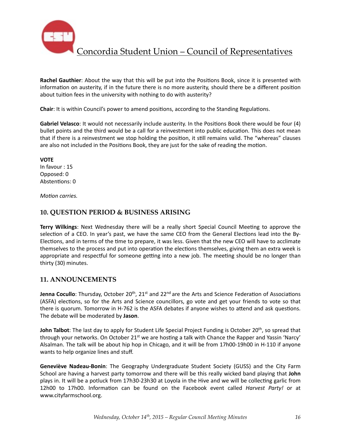

**Rachel Gauthier**: About the way that this will be put into the Positions Book, since it is presented with information on austerity, if in the future there is no more austerity, should there be a different position about tuition fees in the university with nothing to do with austerity?

**Chair:** It is within Council's power to amend positions, according to the Standing Regulations.

**Gabriel Velasco**: It would not necessarily include austerity. In the Positions Book there would be four (4) bullet points and the third would be a call for a reinvestment into public education. This does not mean that if there is a reinvestment we stop holding the position, it still remains valid. The "whereas" clauses are also not included in the Positions Book, they are just for the sake of reading the motion.

**VOTE**  In favour : 15 Opposed: 0 Abstentions: 0

*Motion carries.* 

### **10. QUESTION PERIOD & BUSINESS ARISING**

**Terry Wilkings:** Next Wednesday there will be a really short Special Council Meeting to approve the selection of a CEO. In year's past, we have the same CEO from the General Elections lead into the By-Elections, and in terms of the time to prepare, it was less. Given that the new CEO will have to acclimate themselves to the process and put into operation the elections themselves, giving them an extra week is appropriate and respectful for someone getting into a new job. The meeting should be no longer than thirty (30) minutes.

### **11. ANNOUNCEMENTS**

**Jenna Cocullo**: Thursday, October 20<sup>th</sup>, 21<sup>st</sup> and 22<sup>nd</sup> are the Arts and Science Federation of Associations (ASFA) elections, so for the Arts and Science councillors, go vote and get your friends to vote so that there is quorum. Tomorrow in H-762 is the ASFA debates if anyone wishes to attend and ask questions. The debate will be moderated by Jason.

**John Talbot**: The last day to apply for Student Life Special Project Funding is October 20<sup>th</sup>, so spread that through your networks. On October  $21^{st}$  we are hosting a talk with Chance the Rapper and Yassin 'Narcy' Alsalman. The talk will be about hip hop in Chicago, and it will be from 17h00-19h00 in H-110 if anyone wants to help organize lines and stuff.

**Geneviève Nadeau-Bonin**: The Geography Undergraduate Student Society (GUSS) and the City Farm School are having a harvest party tomorrow and there will be this really wicked band playing that **John** plays in. It will be a potluck from 17h30-23h30 at Loyola in the Hive and we will be collecting garlic from 12h00 to 17h00. Information can be found on the Facebook event called *Harvest Party!* or at www.cityfarmschool.org.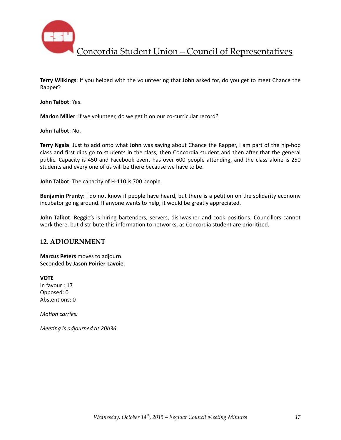

**Terry Wilkings:** If you helped with the volunteering that **John** asked for, do you get to meet Chance the Rapper? 

**John Talbot: Yes.** 

**Marion Miller**: If we volunteer, do we get it on our co-curricular record?

**John Talbot: No.** 

**Terry Ngala**: Just to add onto what **John** was saying about Chance the Rapper, I am part of the hip-hop class and first dibs go to students in the class, then Concordia student and then after that the general public. Capacity is 450 and Facebook event has over 600 people attending, and the class alone is 250 students and every one of us will be there because we have to be.

**John Talbot:** The capacity of H-110 is 700 people.

**Benjamin Prunty**: I do not know if people have heard, but there is a petition on the solidarity economy incubator going around. If anyone wants to help, it would be greatly appreciated.

**John Talbot**: Reggie's is hiring bartenders, servers, dishwasher and cook positions. Councillors cannot work there, but distribute this information to networks, as Concordia student are prioritized.

#### **12. ADJOURNMENT**

**Marcus Peters** moves to adjourn. Seconded by **Jason Poirier-Lavoie**. 

**VOTE** In favour : 17 Opposed: 0 Abstentions: 0

*Motion carries.* 

*Meeting is adjourned at 20h36.*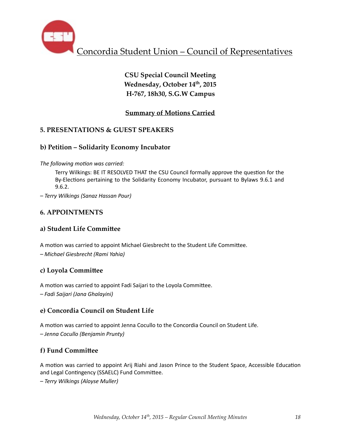

# **CSU Special Council Meeting** Wednesday, October 14<sup>th</sup>, 2015 **H-767, 18h30, S.G.W Campus**

## **Summary of Motions Carried**

## **5. PRESENTATIONS & GUEST SPEAKERS**

### **b) Petition – Solidarity Economy Incubator**

The following motion was carried:

Terry Wilkings: BE IT RESOLVED THAT the CSU Council formally approve the question for the By-Elections pertaining to the Solidarity Economy Incubator, pursuant to Bylaws 9.6.1 and 9.6.2. 

*– Terry Wilkings (Sanaz Hassan Pour)*

## **6. APPOINTMENTS**

### **a) Student Life Committee**

A motion was carried to appoint Michael Giesbrecht to the Student Life Committee. *– Michael Giesbrecht (Rami Yahia)*

### **c) Loyola Commi^ee**

A motion was carried to appoint Fadi Saijari to the Loyola Committee.

*– Fadi Saijari (Jana Ghalayini)*

### **e) Concordia Council on Student Life**

A motion was carried to appoint Jenna Cocullo to the Concordia Council on Student Life. *– Jenna Cocullo (Benjamin Prunty)*

### **f)** Fund Committee

A motion was carried to appoint Arij Riahi and Jason Prince to the Student Space, Accessible Education and Legal Contingency (SSAELC) Fund Committee.

*– Terry Wilkings (Aloyse Muller)*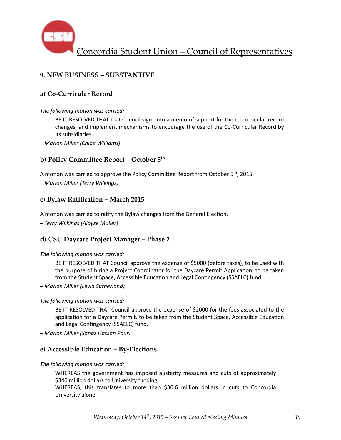

## **9. NEW BUSINESS – SUBSTANTIVE**

### **a) Co-Curricular Record**

#### The following motion was carried:

BE IT RESOLVED THAT that Council sign onto a memo of support for the co-curricular record changes, and implement mechanisms to encourage the use of the Co-Curricular Record by its subsidiaries.

*– Marion Miller (Chloë Williams)* 

### **b) Policy Committee Report – October 5th**

A motion was carried to approve the Policy Committee Report from October 5<sup>th</sup>, 2015. *– Marion Miller (Terry Wilkings)* 

### **c) Bylaw Ratification – March 2015**

A motion was carried to ratify the Bylaw changes from the General Election.

*– Terry Wilkings (Aloyse Muller)*

### **d) CSU Daycare Project Manager – Phase 2**

The following motion was carried:

BE IT RESOLVED THAT Council approve the expense of \$5000 (before taxes), to be used with the purpose of hiring a Project Coordinator for the Daycare Permit Application, to be taken from the Student Space, Accessible Education and Legal Contingency (SSAELC) fund.

*– Marion Miller (Leyla Sutherland)* 

#### The following motion was carried:

BE IT RESOLVED THAT Council approve the expense of \$2000 for the fees associated to the application for a Daycare Permit, to be taken from the Student Space, Accessible Education and Legal Contingency (SSAELC) fund.

*– Marion Miller (Sanaz Hassan Pour)* 

### **e) Accessible Education – By-Elections**

The following motion was carried:

WHEREAS the government has imposed austerity measures and cuts of approximately \$340 million dollars to University funding;

WHEREAS, this translates to more than \$36.6 million dollars in cuts to Concordia University alone;